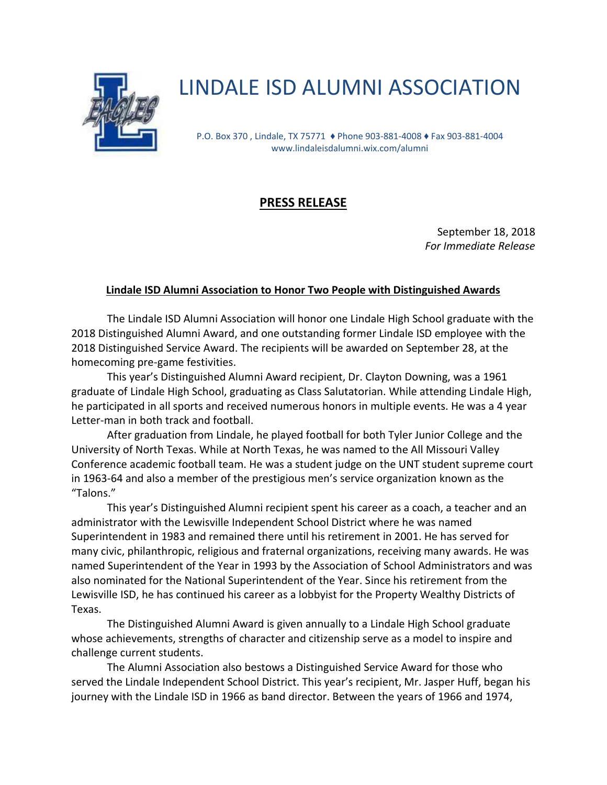

## LINDALE ISD ALUMNI ASSOCIATION

P.O. Box 370 , Lindale, TX 75771 ♦ Phone 903-881-4008 ♦ Fax 903-881-4004 www.lindaleisdalumni.wix.com/alumni

## **PRESS RELEASE**

September 18, 2018 *For Immediate Release* 

## **Lindale ISD Alumni Association to Honor Two People with Distinguished Awards**

The Lindale ISD Alumni Association will honor one Lindale High School graduate with the 2018 Distinguished Alumni Award, and one outstanding former Lindale ISD employee with the 2018 Distinguished Service Award. The recipients will be awarded on September 28, at the homecoming pre-game festivities.

This year's Distinguished Alumni Award recipient, Dr. Clayton Downing, was a 1961 graduate of Lindale High School, graduating as Class Salutatorian. While attending Lindale High, he participated in all sports and received numerous honors in multiple events. He was a 4 year Letter-man in both track and football.

After graduation from Lindale, he played football for both Tyler Junior College and the University of North Texas. While at North Texas, he was named to the All Missouri Valley Conference academic football team. He was a student judge on the UNT student supreme court in 1963-64 and also a member of the prestigious men's service organization known as the "Talons."

This year's Distinguished Alumni recipient spent his career as a coach, a teacher and an administrator with the Lewisville Independent School District where he was named Superintendent in 1983 and remained there until his retirement in 2001. He has served for many civic, philanthropic, religious and fraternal organizations, receiving many awards. He was named Superintendent of the Year in 1993 by the Association of School Administrators and was also nominated for the National Superintendent of the Year. Since his retirement from the Lewisville ISD, he has continued his career as a lobbyist for the Property Wealthy Districts of Texas.

The Distinguished Alumni Award is given annually to a Lindale High School graduate whose achievements, strengths of character and citizenship serve as a model to inspire and challenge current students.

The Alumni Association also bestows a Distinguished Service Award for those who served the Lindale Independent School District. This year's recipient, Mr. Jasper Huff, began his journey with the Lindale ISD in 1966 as band director. Between the years of 1966 and 1974,